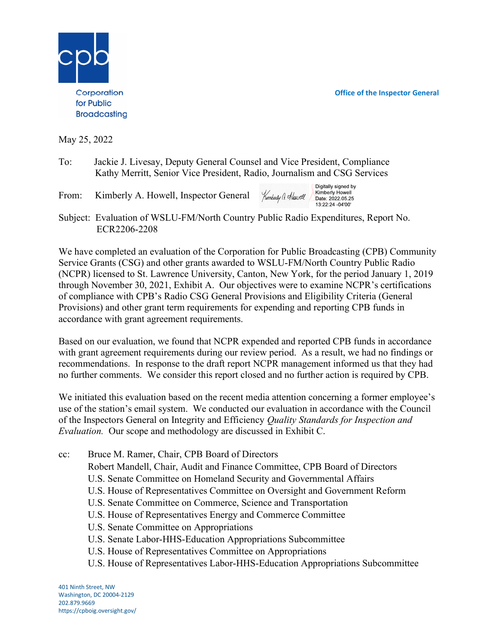Office of the Inspector General



May 25, 2022

- To: Jackie J. Livesay, Deputy General Counsel and Vice President, Compliance Kathy Merritt, Senior Vice President, Radio, Journalism and CSG Services
- From: Kimberly A. Howell, Inspector General

Digitally signed by Kimberly Howell Kimberly G. Howell  $13.22.24 - 04'00'$ 

Subject: Evaluation of WSLU-FM/North Country Public Radio Expenditures, Report No. ECR2206-2208

We have completed an evaluation of the Corporation for Public Broadcasting (CPB) Community Service Grants (CSG) and other grants awarded to WSLU-FM/North Country Public Radio (NCPR) licensed to St. Lawrence University, Canton, New York, for the period January 1, 2019 through November 30, 2021, Exhibit A. Our objectives were to examine NCPR's certifications of compliance with CPB's Radio CSG General Provisions and Eligibility Criteria (General Provisions) and other grant term requirements for expending and reporting CPB funds in accordance with grant agreement requirements.

Based on our evaluation, we found that NCPR expended and reported CPB funds in accordance with grant agreement requirements during our review period. As a result, we had no findings or recommendations. In response to the draft report NCPR management informed us that they had no further comments. We consider this report closed and no further action is required by CPB.

We initiated this evaluation based on the recent media attention concerning a former employee's use of the station's email system. We conducted our evaluation in accordance with the Council of the Inspectors General on Integrity and Efficiency Quality Standards for Inspection and Evaluation. Our scope and methodology are discussed in Exhibit C.

- cc: Bruce M. Ramer, Chair, CPB Board of Directors
	- Robert Mandell, Chair, Audit and Finance Committee, CPB Board of Directors
	- U.S. Senate Committee on Homeland Security and Governmental Affairs
	- U.S. House of Representatives Committee on Oversight and Government Reform
	- U.S. Senate Committee on Commerce, Science and Transportation
	- U.S. House of Representatives Energy and Commerce Committee
	- U.S. Senate Committee on Appropriations
	- U.S. Senate Labor-HHS-Education Appropriations Subcommittee
	- U.S. House of Representatives Committee on Appropriations
	- U.S. House of Representatives Labor-HHS-Education Appropriations Subcommittee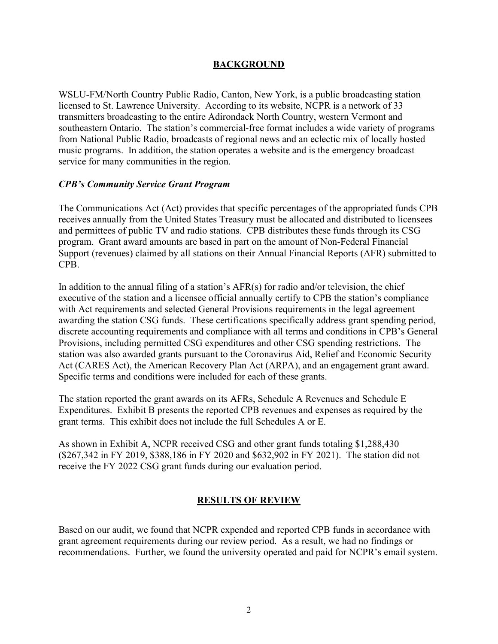### BACKGROUND

WSLU-FM/North Country Public Radio, Canton, New York, is a public broadcasting station licensed to St. Lawrence University. According to its website, NCPR is a network of 33 transmitters broadcasting to the entire Adirondack North Country, western Vermont and southeastern Ontario. The station's commercial-free format includes a wide variety of programs from National Public Radio, broadcasts of regional news and an eclectic mix of locally hosted music programs. In addition, the station operates a website and is the emergency broadcast service for many communities in the region.

### CPB's Community Service Grant Program

The Communications Act (Act) provides that specific percentages of the appropriated funds CPB receives annually from the United States Treasury must be allocated and distributed to licensees and permittees of public TV and radio stations. CPB distributes these funds through its CSG program. Grant award amounts are based in part on the amount of Non-Federal Financial Support (revenues) claimed by all stations on their Annual Financial Reports (AFR) submitted to CPB.

In addition to the annual filing of a station's  $AFR(s)$  for radio and/or television, the chief executive of the station and a licensee official annually certify to CPB the station's compliance with Act requirements and selected General Provisions requirements in the legal agreement awarding the station CSG funds. These certifications specifically address grant spending period, discrete accounting requirements and compliance with all terms and conditions in CPB's General Provisions, including permitted CSG expenditures and other CSG spending restrictions. The station was also awarded grants pursuant to the Coronavirus Aid, Relief and Economic Security Act (CARES Act), the American Recovery Plan Act (ARPA), and an engagement grant award. Specific terms and conditions were included for each of these grants.

The station reported the grant awards on its AFRs, Schedule A Revenues and Schedule E Expenditures. Exhibit B presents the reported CPB revenues and expenses as required by the grant terms. This exhibit does not include the full Schedules A or E.

As shown in Exhibit A, NCPR received CSG and other grant funds totaling \$1,288,430 (\$267,342 in FY 2019, \$388,186 in FY 2020 and \$632,902 in FY 2021). The station did not receive the FY 2022 CSG grant funds during our evaluation period.

### RESULTS OF REVIEW

Based on our audit, we found that NCPR expended and reported CPB funds in accordance with grant agreement requirements during our review period. As a result, we had no findings or recommendations. Further, we found the university operated and paid for NCPR's email system.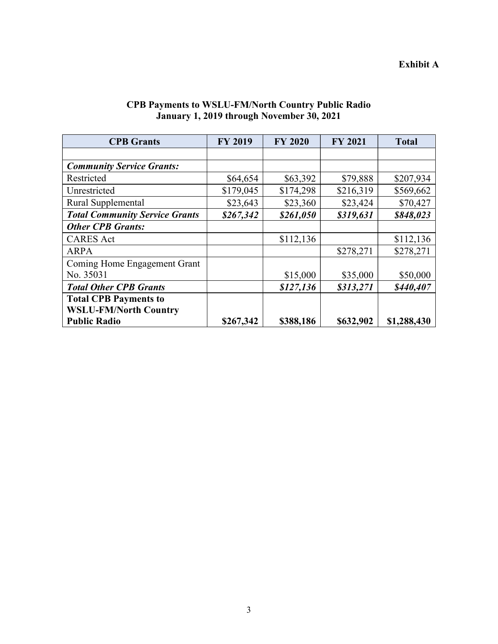## Exhibit A

| <b>CPB</b> Grants                     | <b>FY 2019</b> | <b>FY 2020</b> | <b>FY 2021</b> | <b>Total</b> |
|---------------------------------------|----------------|----------------|----------------|--------------|
|                                       |                |                |                |              |
| <b>Community Service Grants:</b>      |                |                |                |              |
| Restricted                            | \$64,654       | \$63,392       | \$79,888       | \$207,934    |
| Unrestricted                          | \$179,045      | \$174,298      | \$216,319      | \$569,662    |
| Rural Supplemental                    | \$23,643       | \$23,360       | \$23,424       | \$70,427     |
| <b>Total Community Service Grants</b> | \$267,342      | \$261,050      | \$319,631      | \$848,023    |
| <b>Other CPB Grants:</b>              |                |                |                |              |
| <b>CARES</b> Act                      |                | \$112,136      |                | \$112,136    |
| <b>ARPA</b>                           |                |                | \$278,271      | \$278,271    |
| Coming Home Engagement Grant          |                |                |                |              |
| No. 35031                             |                | \$15,000       | \$35,000       | \$50,000     |
| <b>Total Other CPB Grants</b>         |                | \$127,136      | \$313,271      | \$440,407    |
| <b>Total CPB Payments to</b>          |                |                |                |              |
| <b>WSLU-FM/North Country</b>          |                |                |                |              |
| <b>Public Radio</b>                   | \$267,342      | \$388,186      | \$632,902      | \$1,288,430  |

# CPB Payments to WSLU-FM/North Country Public Radio January 1, 2019 through November 30, 2021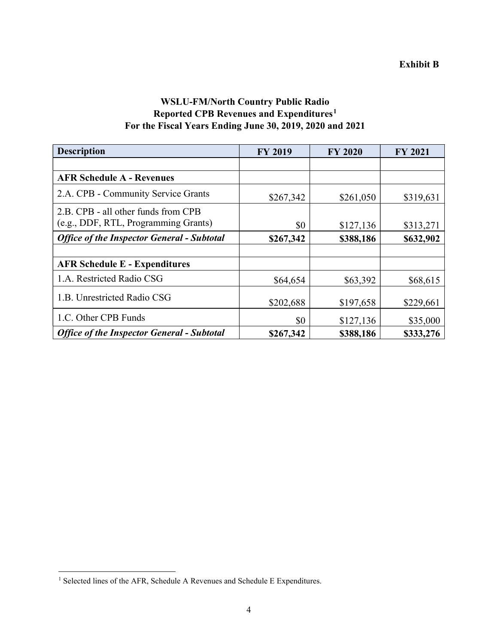# WSLU-FM/North Country Public Radio Reported CPB Revenues and Expenditures<sup>1</sup> For the Fiscal Years Ending June 30, 2019, 2020 and 2021

| <b>Description</b>                                | <b>FY 2019</b> | <b>FY 2020</b> | <b>FY 2021</b> |
|---------------------------------------------------|----------------|----------------|----------------|
|                                                   |                |                |                |
| <b>AFR Schedule A - Revenues</b>                  |                |                |                |
| 2.A. CPB - Community Service Grants               | \$267,342      | \$261,050      | \$319,631      |
| 2.B. CPB - all other funds from CPB               |                |                |                |
| (e.g., DDF, RTL, Programming Grants)              | \$0            | \$127,136      | \$313,271      |
| <b>Office of the Inspector General - Subtotal</b> | \$267,342      | \$388,186      | \$632,902      |
|                                                   |                |                |                |
| <b>AFR Schedule E - Expenditures</b>              |                |                |                |
| 1.A. Restricted Radio CSG                         | \$64,654       | \$63,392       | \$68,615       |
| 1.B. Unrestricted Radio CSG                       | \$202,688      | \$197,658      | \$229,661      |
| 1.C. Other CPB Funds                              | \$0            | \$127,136      | \$35,000       |
| <b>Office of the Inspector General - Subtotal</b> | \$267,342      | \$388,186      | \$333,276      |

<sup>&</sup>lt;sup>1</sup> Selected lines of the AFR, Schedule A Revenues and Schedule E Expenditures.